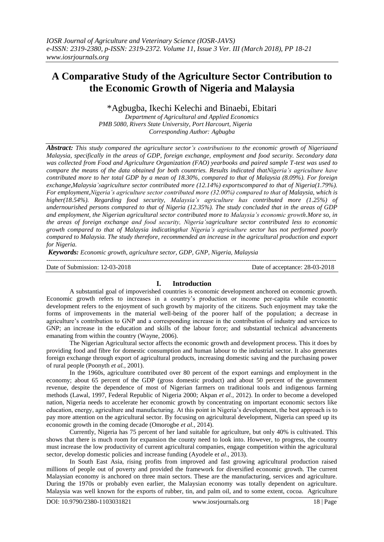# **A Comparative Study of the Agriculture Sector Contribution to the Economic Growth of Nigeria and Malaysia**

\*Agbugba, Ikechi Kelechi and Binaebi, Ebitari

*Department of Agricultural and Applied Economics PMB 5080, Rivers State University, Port Harcourt, Nigeria Corresponding Author: Agbugba*

*Abstract: This study compared the agriculture sector's contributions to the economic growth of Nigeriaand Malaysia, specifically in the areas of GDP, foreign exchange, employment and food security. Secondary data was collected from Food and Agriculture Organization (FAO) yearbooks and paired sample T-test was used to compare the means of the data obtained for both countries. Results indicated thatNigeria's agriculture have contributed more to her total GDP by a mean of 18.30%, compared to that of Malaysia (8.09%). For foreign exchange,Malaysia'sagriculture sector contributed more (12.14%) exportscompared to that of Nigeria(1.79%). For employment,Nigeria's agriculture sector contributed more (32.00%) compared to that of Malaysia, which is higher(18.54%). Regarding food security, Malaysia's agriculture has contributed more (1.25%) of undernourished persons compared to that of Nigeria (12.35%). The study concluded that in the areas of GDP and employment, the Nigerian agricultural sector contributed more to Malaysia's economic growth.More so, in the areas of foreign exchange and food security, Nigeria'sagriculture sector contributed less to economic growth compared to that of Malaysia indicatingthat Nigeria's agriculture sector has not performed poorly compared to Malaysia. The study therefore, recommended an increase in the agricultural production and export for Nigeria.*

*Keywords: Economic growth, agriculture sector, GDP, GNP, Nigeria, Malaysia*

Date of Submission: 12-03-2018 Date of acceptance: 28-03-2018

## **I. Introduction**

A substantial goal of impoverished countries is economic development anchored on economic growth. Economic growth refers to increases in a country's production or income per-capita while economic development refers to the enjoyment of such growth by majority of the citizens. Such enjoyment may take the forms of improvements in the material well-being of the poorer half of the population; a decrease in agriculture's contribution to GNP and a corresponding increase in the contribution of industry and services to GNP; an increase in the education and skills of the labour force; and substantial technical advancements emanating from within the country (Wayne, 2006).

The Nigerian Agricultural sector affects the economic growth and development process. This it does by providing food and fibre for domestic consumption and human labour to the industrial sector. It also generates foreign exchange through export of agricultural products, increasing domestic saving and the purchasing power of rural people (Poonyth *et al.*, 2001).

In the 1960s, agriculture contributed over 80 percent of the export earnings and employment in the economy; about 65 percent of the GDP (gross domestic product) and about 50 percent of the government revenue, despite the dependence of most of Nigerian farmers on traditional tools and indigenous farming methods (Lawal, 1997, Federal Republic of Nigeria 2000; Akpan *et al.,* 2012). In order to become a developed nation, Nigeria needs to accelerate her economic growth by concentrating on important economic sectors like education, energy, agriculture and manufacturing. At this point in Nigeria's development, the best approach is to pay more attention on the agricultural sector. By focusing on agricultural development, Nigeria can speed up its economic growth in the coming decade (Omorogbe *et al.,* 2014).

Currently, Nigeria has 75 percent of her land suitable for agriculture, but only 40% is cultivated. This shows that there is much room for expansion the county need to look into. However, to progress, the country must increase the low productivity of current agricultural companies, engage competition within the agricultural sector, develop domestic policies and increase funding (Ayodele e*t al*., 2013).

In South East Asia, rising profits from improved and fast growing agricultural production raised millions of people out of poverty and provided the framework for diversified economic growth. The current Malaysian economy is anchored on three main sectors. These are the manufacturing, services and agriculture. During the 1970s or probably even earlier, the Malaysian economy was totally dependent on agriculture. Malaysia was well known for the exports of rubber, tin, and palm oil, and to some extent, cocoa. Agriculture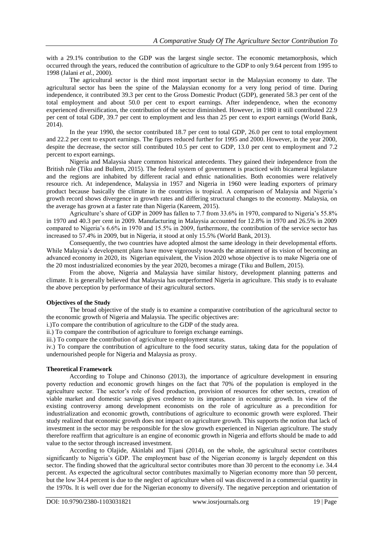with a 29.1% contribution to the GDP was the largest single sector. The economic metamorphosis, which occurred through the years, reduced the contribution of agriculture to the GDP to only 9.64 percent from 1995 to 1998 (Jalani *et al.*, 2000).

The agricultural sector is the third most important sector in the Malaysian economy to date. The agricultural sector has been the spine of the Malaysian economy for a very long period of time. During independence, it contributed 39.3 per cent to the Gross Domestic Product (GDP), generated 58.3 per cent of the total employment and about 50.0 per cent to export earnings. After independence, when the economy experienced diversification, the contribution of the sector diminished. However, in 1980 it still contributed 22.9 per cent of total GDP, 39.7 per cent to employment and less than 25 per cent to export earnings (World Bank, 2014).

In the year 1990, the sector contributed 18.7 per cent to total GDP, 26.0 per cent to total employment and 22.2 per cent to export earnings. The figures reduced further for 1995 and 2000. However, in the year 2000, despite the decrease, the sector still contributed 10.5 per cent to GDP, 13.0 per cent to employment and 7.2 percent to export earnings.

Nigeria and Malaysia share common historical antecedents. They gained their independence from the British rule (Tiku and Bullem, 2015). The federal system of government is practiced with bicameral legislature and the regions are inhabited by different racial and ethnic nationalities. Both economies were relatively resource rich. At independence, Malaysia in 1957 and Nigeria in 1960 were leading exporters of primary product because basically the climate in the countries is tropical. A comparison of Malaysia and Nigeria's growth record shows divergence in growth rates and differing structural changes to the economy. Malaysia, on the average has grown at a faster rate than Nigeria (Kareem, 2015).

Agriculture's share of GDP in 2009 has fallen to 7.7 from 33.6% in 1970, compared to Nigeria's 55.8% in 1970 and 40.3 per cent in 2009. Manufacturing in Malaysia accounted for 12.8% in 1970 and 26.5% in 2009 compared to Nigeria's 6.6% in 1970 and 15.5% in 2009, furthermore, the contribution of the service sector has increased to 57.4% in 2009, but in Nigeria, it stood at only 15.5% (World Bank, 2013).

Consequently, the two countries have adopted almost the same ideology in their developmental efforts. While Malaysia's development plans have move vigorously towards the attainment of its vision of becoming an advanced economy in 2020, its Nigerian equivalent, the Vision 2020 whose objective is to make Nigeria one of the 20 most industrialized economies by the year 2020, becomes a mirage (Tiku and Bullem, 2015).

From the above, Nigeria and Malaysia have similar history, development planning patterns and climate. It is generally believed that Malaysia has outperformed Nigeria in agriculture. This study is to evaluate the above perception by performance of their agricultural sectors.

#### **Objectives of the Study**

The broad objective of the study is to examine a comparative contribution of the agricultural sector to the economic growth of Nigeria and Malaysia. The specific objectives are:

i.)To compare the contribution of agriculture to the GDP of the study area.

ii.) To compare the contribution of agriculture to foreign exchange earnings.

iii.) To compare the contribution of agriculture to employment status.

iv.) To compare the contribution of agriculture to the food security status, taking data for the population of undernourished people for Nigeria and Malaysia as proxy.

### **Theoretical Framework**

According to Tolupe and Chinonso (2013), the importance of agriculture development in ensuring poverty reduction and economic growth hinges on the fact that 70% of the population is employed in the agriculture sector. The sector's role of food production, provision of resources for other sectors, creation of viable market and domestic savings gives credence to its importance in economic growth. In view of the existing controversy among development economists on the role of agriculture as a precondition for industrialization and economic growth, contributions of agriculture to economic growth were explored. Their study realized that economic growth does not impact on agriculture growth. This supports the notion that lack of investment in the sector may be responsible for the slow growth experienced in Nigerian agriculture. The study therefore reaffirm that agriculture is an engine of economic growth in Nigeria and efforts should be made to add value to the sector through increased investment.

According to Olajide, Akinlabi and Tijani (2014), on the whole, the agricultural sector contributes significantly to Nigeria's GDP. The employment base of the Nigerian economy is largely dependent on this sector. The finding showed that the agricultural sector contributes more than 30 percent to the economy i.e. 34.4 percent. As expected the agricultural sector contributes maximally to Nigerian economy more than 50 percent, but the low 34.4 percent is due to the neglect of agriculture when oil was discovered in a commercial quantity in the 1970s. It is well over due for the Nigerian economy to diversify. The negative perception and orientation of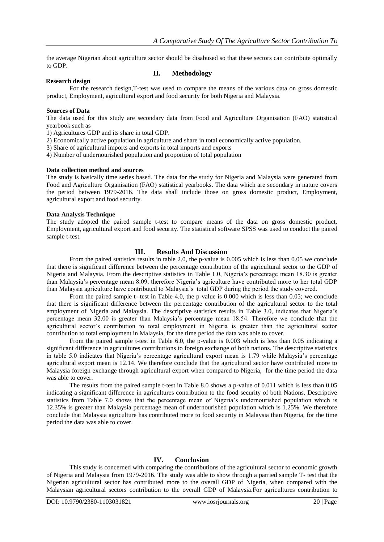the average Nigerian about agriculture sector should be disabused so that these sectors can contribute optimally to GDP.

#### **Research design**

## **II. Methodology**

For the research design,T-test was used to compare the means of the various data on gross domestic product, Employment, agricultural export and food security for both Nigeria and Malaysia.

### **Sources of Data**

The data used for this study are secondary data from Food and Agriculture Organisation (FAO) statistical yearbook such as

1) Agricultures GDP and its share in total GDP.

2) Economically active population in agriculture and share in total economically active population.

3) Share of agricultural imports and exports in total imports and exports

4) Number of undernourished population and proportion of total population

#### **Data collection method and sources**

The study is basically time series based. The data for the study for Nigeria and Malaysia were generated from Food and Agriculture Organisation (FAO) statistical yearbooks. The data which are secondary in nature covers the period between 1979-2016. The data shall include those on gross domestic product, Employment, agricultural export and food security.

#### **Data Analysis Technique**

The study adopted the paired sample t-test to compare means of the data on gross domestic product, Employment, agricultural export and food security. The statistical software SPSS was used to conduct the paired sample t-test.

## **III. Results And Discussion**

From the paired statistics results in table 2.0, the p-value is 0.005 which is less than 0.05 we conclude that there is significant difference between the percentage contribution of the agricultural sector to the GDP of Nigeria and Malaysia. From the descriptive statistics in Table 1.0, Nigeria's percentage mean 18.30 is greater than Malaysia's percentage mean 8.09, therefore Nigeria's agriculture have contributed more to her total GDP than Malaysia agriculture have contributed to Malaysia's total GDP during the period the study covered.

From the paired sample t- test in Table 4.0, the p-value is 0.000 which is less than 0.05; we conclude that there is significant difference between the percentage contribution of the agricultural sector to the total employment of Nigeria and Malaysia. The descriptive statistics results in Table 3.0, indicates that Nigeria's percentage mean 32.00 is greater than Malaysia's percentage mean 18.54. Therefore we conclude that the agricultural sector's contribution to total employment in Nigeria is greater than the agricultural sector contribution to total employment in Malaysia, for the time period the data was able to cover.

From the paired sample t-test in Table 6.0, the p-value is 0.003 which is less than 0.05 indicating a significant difference in agricultures contributions to foreign exchange of both nations. The descriptive statistics in table 5.0 indicates that Nigeria's percentage agricultural export mean is 1.79 while Malaysia's percentage agricultural export mean is 12.14. We therefore conclude that the agricultural sector have contributed more to Malaysia foreign exchange through agricultural export when compared to Nigeria, for the time period the data was able to cover.

The results from the paired sample t-test in Table 8.0 shows a p-value of 0.011 which is less than 0.05 indicating a significant difference in agricultures contribution to the food security of both Nations. Descriptive statistics from Table 7.0 shows that the percentage mean of Nigeria's undernourished population which is 12.35% is greater than Malaysia percentage mean of undernourished population which is 1.25%. We therefore conclude that Malaysia agriculture has contributed more to food security in Malaysia than Nigeria, for the time period the data was able to cover.

## **IV. Conclusion**

This study is concerned with comparing the contributions of the agricultural sector to economic growth of Nigeria and Malaysia from 1979-2016. The study was able to show through a parried sample T- test that the Nigerian agricultural sector has contributed more to the overall GDP of Nigeria, when compared with the Malaysian agricultural sectors contribution to the overall GDP of Malaysia.For agricultures contribution to